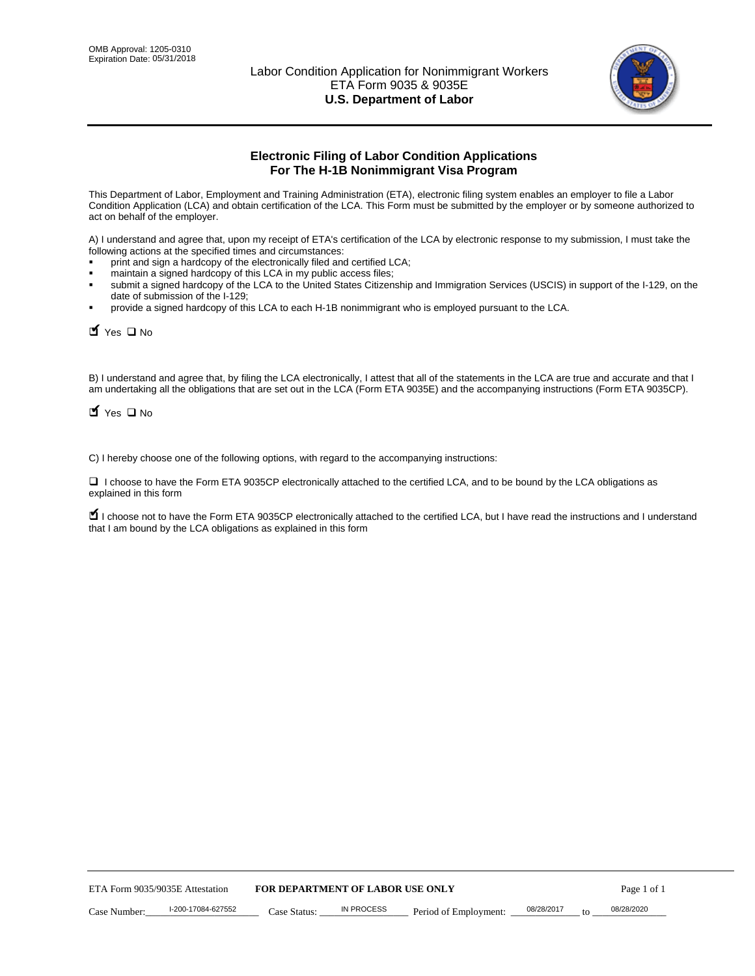

# **Electronic Filing of Labor Condition Applications For The H-1B Nonimmigrant Visa Program**

This Department of Labor, Employment and Training Administration (ETA), electronic filing system enables an employer to file a Labor Condition Application (LCA) and obtain certification of the LCA. This Form must be submitted by the employer or by someone authorized to act on behalf of the employer.

A) I understand and agree that, upon my receipt of ETA's certification of the LCA by electronic response to my submission, I must take the following actions at the specified times and circumstances:

- print and sign a hardcopy of the electronically filed and certified LCA;
- maintain a signed hardcopy of this LCA in my public access files;
- submit a signed hardcopy of the LCA to the United States Citizenship and Immigration Services (USCIS) in support of the I-129, on the date of submission of the I-129;
- provide a signed hardcopy of this LCA to each H-1B nonimmigrant who is employed pursuant to the LCA.

| Yes O No                                                                                                                                                                                                                                                                                                               |                                  |                   |                       |                  |             |
|------------------------------------------------------------------------------------------------------------------------------------------------------------------------------------------------------------------------------------------------------------------------------------------------------------------------|----------------------------------|-------------------|-----------------------|------------------|-------------|
| B) I understand and agree that, by filing the LCA electronically, I attest that all of the statements in the LCA are true and accurate and th<br>am undertaking all the obligations that are set out in the LCA (Form ETA 9035E) and the accompanying instructions (Form ETA 9035CF<br>$\blacksquare$ Yes $\square$ No |                                  |                   |                       |                  |             |
| C) I hereby choose one of the following options, with regard to the accompanying instructions:                                                                                                                                                                                                                         |                                  |                   |                       |                  |             |
| □ I choose to have the Form ETA 9035CP electronically attached to the certified LCA, and to be bound by the LCA obligations as<br>explained in this form                                                                                                                                                               |                                  |                   |                       |                  |             |
| I choose not to have the Form ETA 9035CP electronically attached to the certified LCA, but I have read the instructions and I unders<br>that I am bound by the LCA obligations as explained in this form                                                                                                               |                                  |                   |                       |                  |             |
|                                                                                                                                                                                                                                                                                                                        |                                  |                   |                       |                  |             |
|                                                                                                                                                                                                                                                                                                                        |                                  |                   |                       |                  |             |
|                                                                                                                                                                                                                                                                                                                        |                                  |                   |                       |                  |             |
|                                                                                                                                                                                                                                                                                                                        |                                  |                   |                       |                  |             |
|                                                                                                                                                                                                                                                                                                                        |                                  |                   |                       |                  |             |
|                                                                                                                                                                                                                                                                                                                        |                                  |                   |                       |                  |             |
|                                                                                                                                                                                                                                                                                                                        |                                  |                   |                       |                  |             |
|                                                                                                                                                                                                                                                                                                                        |                                  |                   |                       |                  |             |
|                                                                                                                                                                                                                                                                                                                        |                                  |                   |                       |                  |             |
|                                                                                                                                                                                                                                                                                                                        |                                  |                   |                       |                  |             |
| ETA Form 9035/9035E Attestation                                                                                                                                                                                                                                                                                        | FOR DEPARTMENT OF LABOR USE ONLY |                   |                       |                  | Page 1 of 1 |
| I-200-17084-627552<br>Case Number:                                                                                                                                                                                                                                                                                     | Case Status:                     | <b>IN PROCESS</b> | Period of Employment: | 08/28/2017<br>to | 08/28/2020  |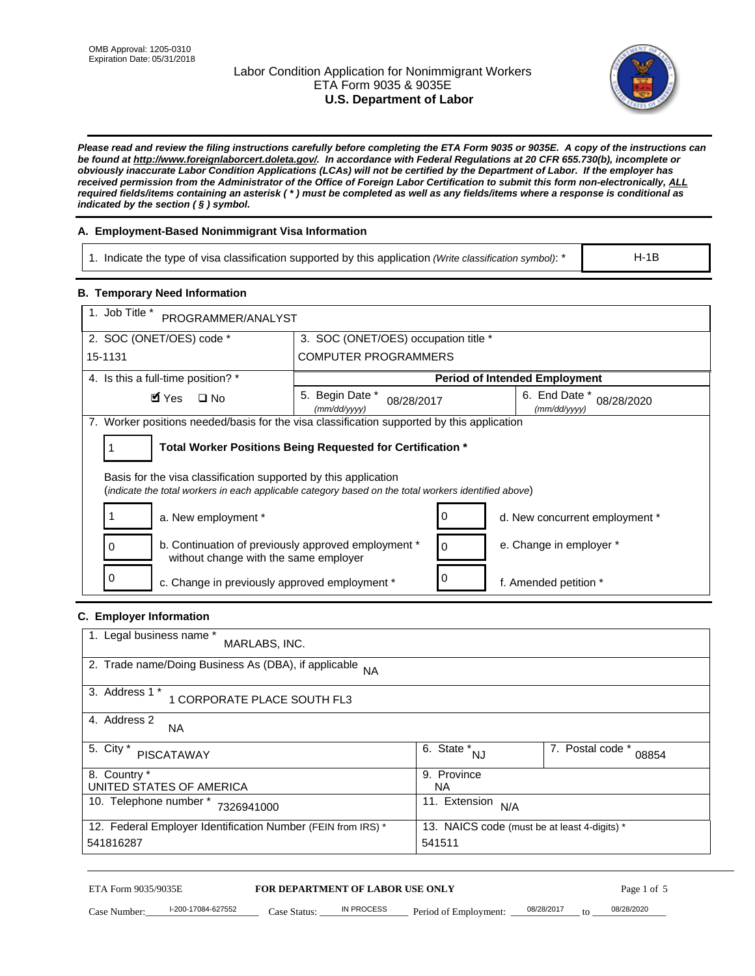# Labor Condition Application for Nonimmigrant Workers ETA Form 9035 & 9035E **U.S. Department of Labor**



*Please read and review the filing instructions carefully before completing the ETA Form 9035 or 9035E. A copy of the instructions can be found at http://www.foreignlaborcert.doleta.gov/. In accordance with Federal Regulations at 20 CFR 655.730(b), incomplete or obviously inaccurate Labor Condition Applications (LCAs) will not be certified by the Department of Labor. If the employer has received permission from the Administrator of the Office of Foreign Labor Certification to submit this form non-electronically, ALL required fields/items containing an asterisk ( \* ) must be completed as well as any fields/items where a response is conditional as indicated by the section ( § ) symbol.* 

# **A. Employment-Based Nonimmigrant Visa Information**

1. Indicate the type of visa classification supported by this application *(Write classification symbol)*: \*

# **B. Temporary Need Information**

| 1. Indicate the type of visa classification supported by this application (Write classification symbol): *                                                              |                                               |                                                 |                                              | $H-1B$                    |  |
|-------------------------------------------------------------------------------------------------------------------------------------------------------------------------|-----------------------------------------------|-------------------------------------------------|----------------------------------------------|---------------------------|--|
| <b>B. Temporary Need Information</b>                                                                                                                                    |                                               |                                                 |                                              |                           |  |
| 1. Job Title *<br>PROGRAMMER/ANALYST                                                                                                                                    |                                               |                                                 |                                              |                           |  |
| 2. SOC (ONET/OES) code *                                                                                                                                                | 3. SOC (ONET/OES) occupation title *          |                                                 |                                              |                           |  |
| 15-1131                                                                                                                                                                 | <b>COMPUTER PROGRAMMERS</b>                   |                                                 |                                              |                           |  |
| 4. Is this a full-time position? *                                                                                                                                      |                                               |                                                 | <b>Period of Intended Employment</b>         |                           |  |
| $\blacksquare$ Yes<br>$\square$ No                                                                                                                                      | 5. Begin Date *<br>08/28/2017<br>(mm/dd/yyyy) |                                                 | 6. End Date *<br>(mm/dd/yyyy)                | 08/28/2020                |  |
| 7. Worker positions needed/basis for the visa classification supported by this application                                                                              |                                               |                                                 |                                              |                           |  |
| Total Worker Positions Being Requested for Certification *<br>1                                                                                                         |                                               |                                                 |                                              |                           |  |
| Basis for the visa classification supported by this application<br>(indicate the total workers in each applicable category based on the total workers identified above) |                                               |                                                 |                                              |                           |  |
| 1<br>a. New employment *                                                                                                                                                |                                               | 0                                               | d. New concurrent employment *               |                           |  |
| b. Continuation of previously approved employment *<br>0<br>without change with the same employer                                                                       |                                               | 0                                               | e. Change in employer *                      |                           |  |
| 0<br>c. Change in previously approved employment *                                                                                                                      |                                               | 0                                               | f. Amended petition *                        |                           |  |
| C. Employer Information                                                                                                                                                 |                                               |                                                 |                                              |                           |  |
| 1. Legal business name *<br>MARLABS, INC.                                                                                                                               |                                               |                                                 |                                              |                           |  |
| 2. Trade name/Doing Business As (DBA), if applicable NA                                                                                                                 |                                               |                                                 |                                              |                           |  |
| 3. Address 1 *<br>1 CORPORATE PLACE SOUTH FL3                                                                                                                           |                                               |                                                 |                                              |                           |  |
| 4. Address 2<br>NA.                                                                                                                                                     |                                               |                                                 |                                              |                           |  |
| 5. City *<br><b>PISCATAWAY</b>                                                                                                                                          |                                               | $\overline{6. \quad \text{State}}^*_{\quad NJ}$ |                                              | 7. Postal code *<br>08854 |  |
| 8. Country *<br>UNITED STATES OF AMERICA                                                                                                                                |                                               | 9. Province<br><b>NA</b>                        |                                              |                           |  |
| 10. Telephone number * 7326941000                                                                                                                                       |                                               | 11. Extension $N/A$                             |                                              |                           |  |
| 12. Federal Employer Identification Number (FEIN from IRS) *<br>541816287                                                                                               |                                               | 541511                                          | 13. NAICS code (must be at least 4-digits) * |                           |  |
| ETA Form 9035/9035E                                                                                                                                                     | <b>FOR DEPARTMENT OF LABOR USE ONLY</b>       |                                                 |                                              | Page 1 of 5               |  |
| I-200-17084-627552<br>Case Number:<br>$Case$ Statue                                                                                                                     | IN PROCESS                                    | Period of Employment:                           | 08/28/2017                                   | 08/28/2020                |  |

# **C. Employer Information**

| 1. Legal business name *<br>MARLABS, INC.                    |                                              |                           |  |
|--------------------------------------------------------------|----------------------------------------------|---------------------------|--|
| 2. Trade name/Doing Business As (DBA), if applicable NA      |                                              |                           |  |
| 3. Address 1 *<br>1 CORPORATE PLACE SOUTH FL3                |                                              |                           |  |
| 4. Address 2<br><b>NA</b>                                    |                                              |                           |  |
| 5. City *<br><b>PISCATAWAY</b>                               | 6. State *<br><b>NJ</b>                      | 7. Postal code *<br>08854 |  |
| 8. Country *                                                 | 9. Province                                  |                           |  |
| UNITED STATES OF AMERICA                                     | NA                                           |                           |  |
| 10. Telephone number *<br>7326941000                         | 11. Extension<br>N/A                         |                           |  |
| 12. Federal Employer Identification Number (FEIN from IRS) * | 13. NAICS code (must be at least 4-digits) * |                           |  |
| 541816287                                                    | 541511                                       |                           |  |

# ETA Form 9035/9035E **FOR DEPARTMENT OF LABOR USE ONLY** Page 1 of 5<br>Case Number: 1-200-17084-627552 Case Status: IN PROCESS Period of Employment: 08/28/2017 to 08/28/2020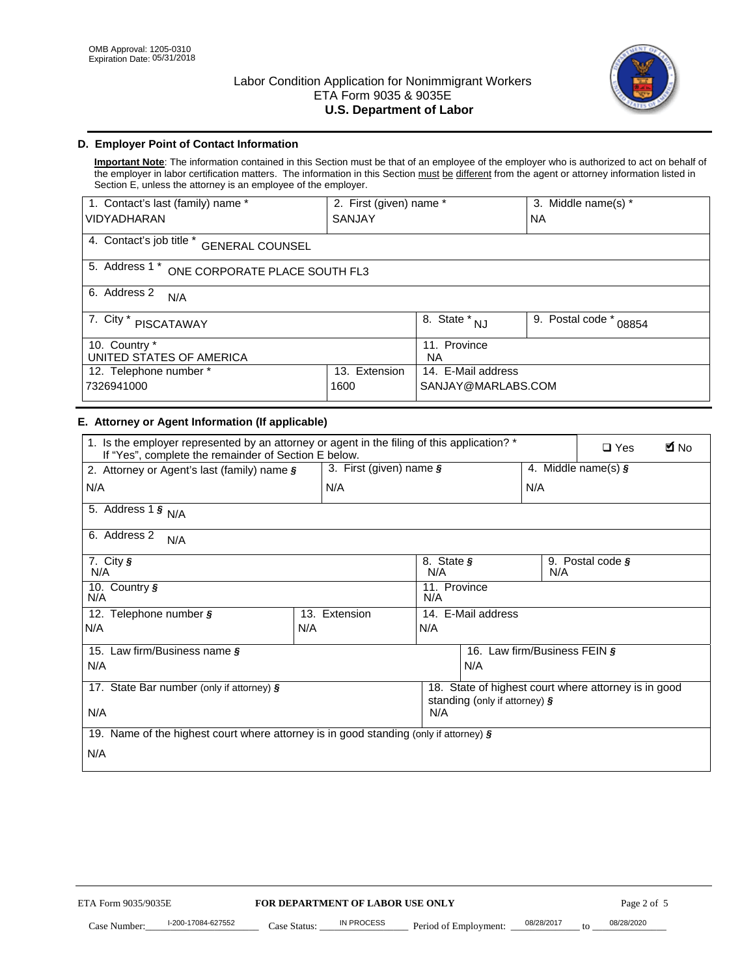

# **D. Employer Point of Contact Information**

**Important Note**: The information contained in this Section must be that of an employee of the employer who is authorized to act on behalf of the employer in labor certification matters. The information in this Section must be different from the agent or attorney information listed in Section E, unless the attorney is an employee of the employer.

| 1. Contact's last (family) name *                  | 2. First (given) name *               |                           | 3. Middle name(s) * |  |  |
|----------------------------------------------------|---------------------------------------|---------------------------|---------------------|--|--|
| <b>VIDYADHARAN</b>                                 | <b>SANJAY</b>                         |                           | <b>NA</b>           |  |  |
| 4. Contact's job title *<br><b>GENERAL COUNSEL</b> |                                       |                           |                     |  |  |
| 5. Address 1 *<br>ONE CORPORATE PLACE SOUTH FL3    |                                       |                           |                     |  |  |
| 6. Address 2<br>N/A                                |                                       |                           |                     |  |  |
| 7. City $*$<br>PISCATAWAY                          | $\overline{8}$ . State *<br><b>NJ</b> | 9. Postal code *<br>08854 |                     |  |  |
| 10. Country *<br>UNITED STATES OF AMERICA          | 11. Province<br><b>NA</b>             |                           |                     |  |  |
| 12. Telephone number *                             | Extension<br>13.                      | 14. E-Mail address        |                     |  |  |
| 7326941000                                         | 1600                                  | SANJAY@MARLABS.COM        |                     |  |  |

# **E. Attorney or Agent Information (If applicable)**

| VIDYADHARAN                                                                                                                                         | SANJAY                           |                                                                                       |                                          | <b>NA</b>        |                              |             |
|-----------------------------------------------------------------------------------------------------------------------------------------------------|----------------------------------|---------------------------------------------------------------------------------------|------------------------------------------|------------------|------------------------------|-------------|
| 4. Contact's job title * GENERAL COUNSEL                                                                                                            |                                  |                                                                                       |                                          |                  |                              |             |
| 5. Address 1 * ONE CORPORATE PLACE SOUTH FL3                                                                                                        |                                  |                                                                                       |                                          |                  |                              |             |
| 6. Address 2<br>N/A                                                                                                                                 |                                  |                                                                                       |                                          |                  |                              |             |
| 7. City * PISCATAWAY                                                                                                                                |                                  | $\overline{\phantom{a}}$ 8. State $^*$ NJ                                             |                                          | 9. Postal code * | 08854                        |             |
| 10. Country *<br>UNITED STATES OF AMERICA                                                                                                           |                                  | 11. Province<br>NA.                                                                   |                                          |                  |                              |             |
| 12. Telephone number *<br>7326941000                                                                                                                | 13. Extension<br>1600            |                                                                                       | 14. E-Mail address<br>SANJAY@MARLABS.COM |                  |                              |             |
| E. Attorney or Agent Information (If applicable)                                                                                                    |                                  |                                                                                       |                                          |                  |                              |             |
| 1. Is the employer represented by an attorney or agent in the filing of this application? *<br>If "Yes", complete the remainder of Section E below. |                                  |                                                                                       |                                          |                  | $\Box$ Yes                   | <b>M</b> No |
| 2. Attorney or Agent's last (family) name §                                                                                                         | 3. First (given) name §          |                                                                                       |                                          |                  | 4. Middle name(s) $\sqrt{s}$ |             |
| N/A                                                                                                                                                 | N/A                              |                                                                                       |                                          | N/A              |                              |             |
| 5. Address 1 $\frac{1}{9}$ N/A                                                                                                                      |                                  |                                                                                       |                                          |                  |                              |             |
| 6. Address 2<br>N/A                                                                                                                                 |                                  |                                                                                       |                                          |                  |                              |             |
| 7. City §<br>N/A                                                                                                                                    |                                  | 8. State §<br>N/A                                                                     |                                          | N/A              | 9. Postal code §             |             |
| 10. Country §<br>N/A                                                                                                                                |                                  | 11. Province<br>N/A                                                                   |                                          |                  |                              |             |
| 12. Telephone number §                                                                                                                              | 13. Extension                    | 14. E-Mail address                                                                    |                                          |                  |                              |             |
| N/A                                                                                                                                                 | N/A                              | N/A                                                                                   |                                          |                  |                              |             |
| 15. Law firm/Business name §                                                                                                                        |                                  |                                                                                       | 16. Law firm/Business FEIN §             |                  |                              |             |
| N/A                                                                                                                                                 |                                  |                                                                                       | N/A                                      |                  |                              |             |
| 17. State Bar number (only if attorney) §                                                                                                           |                                  | 18. State of highest court where attorney is in good<br>standing (only if attorney) § |                                          |                  |                              |             |
| N/A                                                                                                                                                 |                                  | N/A                                                                                   |                                          |                  |                              |             |
| 19. Name of the highest court where attorney is in good standing (only if attorney) §                                                               |                                  |                                                                                       |                                          |                  |                              |             |
| N/A                                                                                                                                                 |                                  |                                                                                       |                                          |                  |                              |             |
|                                                                                                                                                     |                                  |                                                                                       |                                          |                  |                              |             |
|                                                                                                                                                     |                                  |                                                                                       |                                          |                  |                              |             |
|                                                                                                                                                     |                                  |                                                                                       |                                          |                  |                              |             |
|                                                                                                                                                     |                                  |                                                                                       |                                          |                  |                              |             |
|                                                                                                                                                     |                                  |                                                                                       |                                          |                  |                              |             |
|                                                                                                                                                     |                                  |                                                                                       |                                          |                  |                              |             |
|                                                                                                                                                     |                                  |                                                                                       |                                          |                  |                              |             |
| ETA Form 9035/9035E                                                                                                                                 | FOR DEPARTMENT OF LABOR USE ONLY |                                                                                       |                                          |                  | Page 2 of 5                  |             |
| I-200-17084-627552                                                                                                                                  | IN PROCESS                       |                                                                                       |                                          | 08/28/2017       | 08/28/2020                   |             |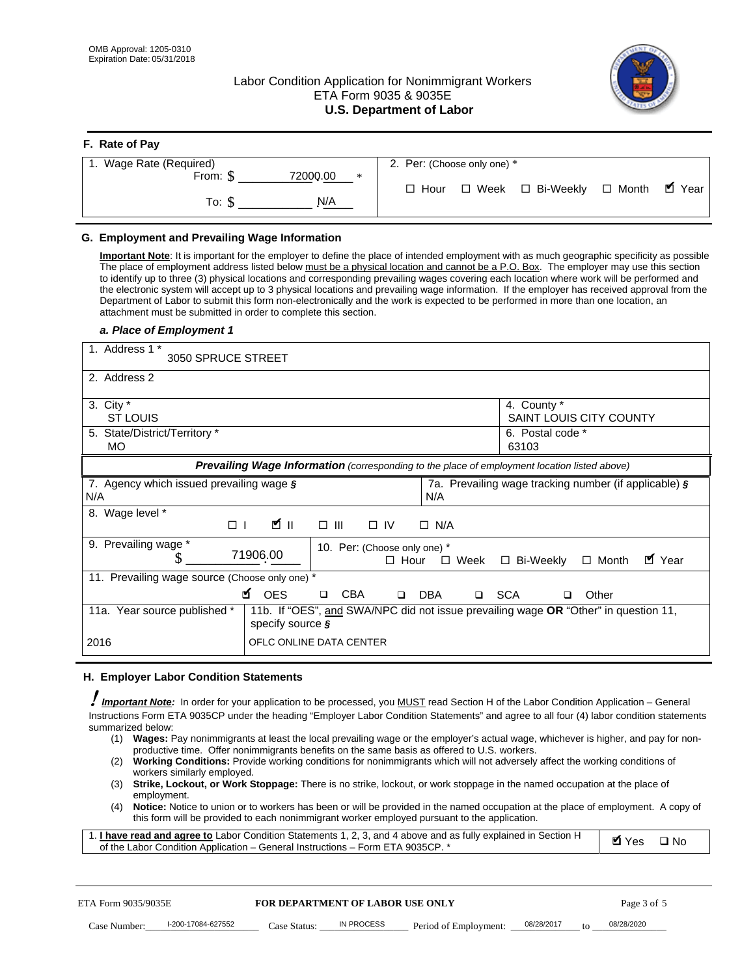**F. Rate of Pay** 

# Labor Condition Application for Nonimmigrant Workers ETA Form 9035 & 9035E **U.S. Department of Labor**



| <b>r.</b> Rate of Pay   |                 |                             |                                   |  |
|-------------------------|-----------------|-----------------------------|-----------------------------------|--|
| 1. Wage Rate (Required) |                 | 2. Per: (Choose only one) * |                                   |  |
| From: $$$               | 72000.00<br>$*$ |                             |                                   |  |
|                         |                 | $\Box$ Hour                 | □ Week □ Bi-Weekly □ Month ■ Year |  |
| To: S                   | N/A             |                             |                                   |  |
|                         |                 |                             |                                   |  |

## **G. Employment and Prevailing Wage Information**

#### *a. Place of Employment 1*

|     | From: \$                                                                                                                                                                                                                                                                                                                                                                                                                                                                                                                                                                                                                                                                                                                                                                                                                                  | 72000.00<br>$\ast$<br>To: $\S$<br>N/A                                                                                                                                                                                                                                                                                                                                                                                                                                                                                                                                                                                                                                                                                                |             | $\Box$ Hour |                       |       | $\Box$ Week $\Box$ Bi-Weekly                               | $\Box$ Month |             |              | $\blacksquare$ Year |
|-----|-------------------------------------------------------------------------------------------------------------------------------------------------------------------------------------------------------------------------------------------------------------------------------------------------------------------------------------------------------------------------------------------------------------------------------------------------------------------------------------------------------------------------------------------------------------------------------------------------------------------------------------------------------------------------------------------------------------------------------------------------------------------------------------------------------------------------------------------|--------------------------------------------------------------------------------------------------------------------------------------------------------------------------------------------------------------------------------------------------------------------------------------------------------------------------------------------------------------------------------------------------------------------------------------------------------------------------------------------------------------------------------------------------------------------------------------------------------------------------------------------------------------------------------------------------------------------------------------|-------------|-------------|-----------------------|-------|------------------------------------------------------------|--------------|-------------|--------------|---------------------|
|     | G. Employment and Prevailing Wage Information<br>Important Note: It is important for the employer to define the place of intended employment with as much geographic specificity as possible<br>The place of employment address listed below must be a physical location and cannot be a P.O. Box. The employer may use this section<br>to identify up to three (3) physical locations and corresponding prevailing wages covering each location where work will be performed and<br>the electronic system will accept up to 3 physical locations and prevailing wage information. If the employer has received approval from the<br>Department of Labor to submit this form non-electronically and the work is expected to be performed in more than one location, an<br>attachment must be submitted in order to complete this section. |                                                                                                                                                                                                                                                                                                                                                                                                                                                                                                                                                                                                                                                                                                                                      |             |             |                       |       |                                                            |              |             |              |                     |
|     | a. Place of Employment 1<br>1. Address 1 *<br>3050 SPRUCE STREET                                                                                                                                                                                                                                                                                                                                                                                                                                                                                                                                                                                                                                                                                                                                                                          |                                                                                                                                                                                                                                                                                                                                                                                                                                                                                                                                                                                                                                                                                                                                      |             |             |                       |       |                                                            |              |             |              |                     |
|     | 2. Address 2<br>3. City $*$<br><b>ST LOUIS</b><br>5. State/District/Territory *<br>МO                                                                                                                                                                                                                                                                                                                                                                                                                                                                                                                                                                                                                                                                                                                                                     |                                                                                                                                                                                                                                                                                                                                                                                                                                                                                                                                                                                                                                                                                                                                      |             |             |                       | 63103 | 4. County *<br>SAINT LOUIS CITY COUNTY<br>6. Postal code * |              |             |              |                     |
|     |                                                                                                                                                                                                                                                                                                                                                                                                                                                                                                                                                                                                                                                                                                                                                                                                                                           | Prevailing Wage Information (corresponding to the place of employment location listed above)                                                                                                                                                                                                                                                                                                                                                                                                                                                                                                                                                                                                                                         |             |             |                       |       |                                                            |              |             |              |                     |
| N/A | 7. Agency which issued prevailing wage §                                                                                                                                                                                                                                                                                                                                                                                                                                                                                                                                                                                                                                                                                                                                                                                                  |                                                                                                                                                                                                                                                                                                                                                                                                                                                                                                                                                                                                                                                                                                                                      |             | N/A         |                       |       | 7a. Prevailing wage tracking number (if applicable) §      |              |             |              |                     |
|     | 8. Wage level *<br>$\Box$                                                                                                                                                                                                                                                                                                                                                                                                                                                                                                                                                                                                                                                                                                                                                                                                                 | <b>M</b><br>$\Box$<br>III                                                                                                                                                                                                                                                                                                                                                                                                                                                                                                                                                                                                                                                                                                            | $\Box$ IV   | $\Box$ N/A  |                       |       |                                                            |              |             |              |                     |
|     | 9. Prevailing wage *<br>S                                                                                                                                                                                                                                                                                                                                                                                                                                                                                                                                                                                                                                                                                                                                                                                                                 | 10. Per: (Choose only one) *<br>71906.00                                                                                                                                                                                                                                                                                                                                                                                                                                                                                                                                                                                                                                                                                             | $\Box$ Hour |             | $\Box$ Week           |       | □ Bi-Weekly                                                | $\Box$ Month |             | ■ Year       |                     |
|     | 11. Prevailing wage source (Choose only one) *                                                                                                                                                                                                                                                                                                                                                                                                                                                                                                                                                                                                                                                                                                                                                                                            | <b>¤</b> OES<br><b>CBA</b><br>$\Box$                                                                                                                                                                                                                                                                                                                                                                                                                                                                                                                                                                                                                                                                                                 | $\Box$      | DBA         | □ SCA                 |       | □                                                          | Other        |             |              |                     |
|     | 11a. Year source published *                                                                                                                                                                                                                                                                                                                                                                                                                                                                                                                                                                                                                                                                                                                                                                                                              | 11b. If "OES", and SWA/NPC did not issue prevailing wage OR "Other" in question 11,<br>specify source $\boldsymbol{\S}$                                                                                                                                                                                                                                                                                                                                                                                                                                                                                                                                                                                                              |             |             |                       |       |                                                            |              |             |              |                     |
|     | 2016                                                                                                                                                                                                                                                                                                                                                                                                                                                                                                                                                                                                                                                                                                                                                                                                                                      | OFLC ONLINE DATA CENTER                                                                                                                                                                                                                                                                                                                                                                                                                                                                                                                                                                                                                                                                                                              |             |             |                       |       |                                                            |              |             |              |                     |
|     | H. Employer Labor Condition Statements                                                                                                                                                                                                                                                                                                                                                                                                                                                                                                                                                                                                                                                                                                                                                                                                    |                                                                                                                                                                                                                                                                                                                                                                                                                                                                                                                                                                                                                                                                                                                                      |             |             |                       |       |                                                            |              |             |              |                     |
|     | <b>Important Note:</b> In order for your application to be processed, you MUST read Section H of the Labor Condition Application - General<br>Instructions Form ETA 9035CP under the heading "Employer Labor Condition Statements" and agree to all four (4) labor condition statements<br>summarized below:<br>(1)<br>(2)<br>workers similarly employed.<br>(3)<br>employment.<br>(4)<br>1. <i>I have read and agree to</i> Labor Condition Statements 1, 2, 3, and 4 above and as fully explained in Section H<br>of the Labor Condition Application - General Instructions - Form ETA 9035CP. *                                                                                                                                                                                                                                        | Wages: Pay nonimmigrants at least the local prevailing wage or the employer's actual wage, whichever is higher, and pay for non-<br>productive time. Offer nonimmigrants benefits on the same basis as offered to U.S. workers.<br><b>Working Conditions:</b> Provide working conditions for nonimmigrants which will not adversely affect the working conditions of<br>Strike, Lockout, or Work Stoppage: There is no strike, lockout, or work stoppage in the named occupation at the place of<br>Notice: Notice to union or to workers has been or will be provided in the named occupation at the place of employment. A copy of<br>this form will be provided to each nonimmigrant worker employed pursuant to the application. |             |             |                       |       |                                                            | <b>Ø</b> Yes |             | $\square$ No |                     |
|     | ETA Form 9035/9035E                                                                                                                                                                                                                                                                                                                                                                                                                                                                                                                                                                                                                                                                                                                                                                                                                       | <b>FOR DEPARTMENT OF LABOR USE ONLY</b>                                                                                                                                                                                                                                                                                                                                                                                                                                                                                                                                                                                                                                                                                              |             |             |                       |       |                                                            |              | Page 3 of 5 |              |                     |
|     | I-200-17084-627552<br>Case Number:                                                                                                                                                                                                                                                                                                                                                                                                                                                                                                                                                                                                                                                                                                                                                                                                        | IN PROCESS<br>Case Status: .                                                                                                                                                                                                                                                                                                                                                                                                                                                                                                                                                                                                                                                                                                         |             |             | Period of Employment: |       | 08/28/2017                                                 | 08/28/2020   |             |              |                     |

#### **H. Employer Labor Condition Statements**

- (1) **Wages:** Pay nonimmigrants at least the local prevailing wage or the employer's actual wage, whichever is higher, and pay for nonproductive time. Offer nonimmigrants benefits on the same basis as offered to U.S. workers.
- (2) **Working Conditions:** Provide working conditions for nonimmigrants which will not adversely affect the working conditions of workers similarly employed.
- (3) **Strike, Lockout, or Work Stoppage:** There is no strike, lockout, or work stoppage in the named occupation at the place of employment.
- (4) **Notice:** Notice to union or to workers has been or will be provided in the named occupation at the place of employment. A copy of this form will be provided to each nonimmigrant worker employed pursuant to the application.

| 1. I have read and agree to Labor Condition Statements 1, 2, 3, and 4 above and as fully explained in Section H | Myes ⊡No |  |
|-----------------------------------------------------------------------------------------------------------------|----------|--|
| of the Labor Condition Application – General Instructions – Form ETA 9035CP. *                                  |          |  |

| ETA Form 9035/9035E |                    | <b>FOR DEPARTMENT OF LABOR USE ONLY</b> |            |                                      |                 | Page 3 of 5 |
|---------------------|--------------------|-----------------------------------------|------------|--------------------------------------|-----------------|-------------|
| Case Number:        | l-200-17084-627552 | Case Status:                            | IN PROCESS | Period of Employment: ____08/28/2017 | 10 <sup>2</sup> | 08/28/2020  |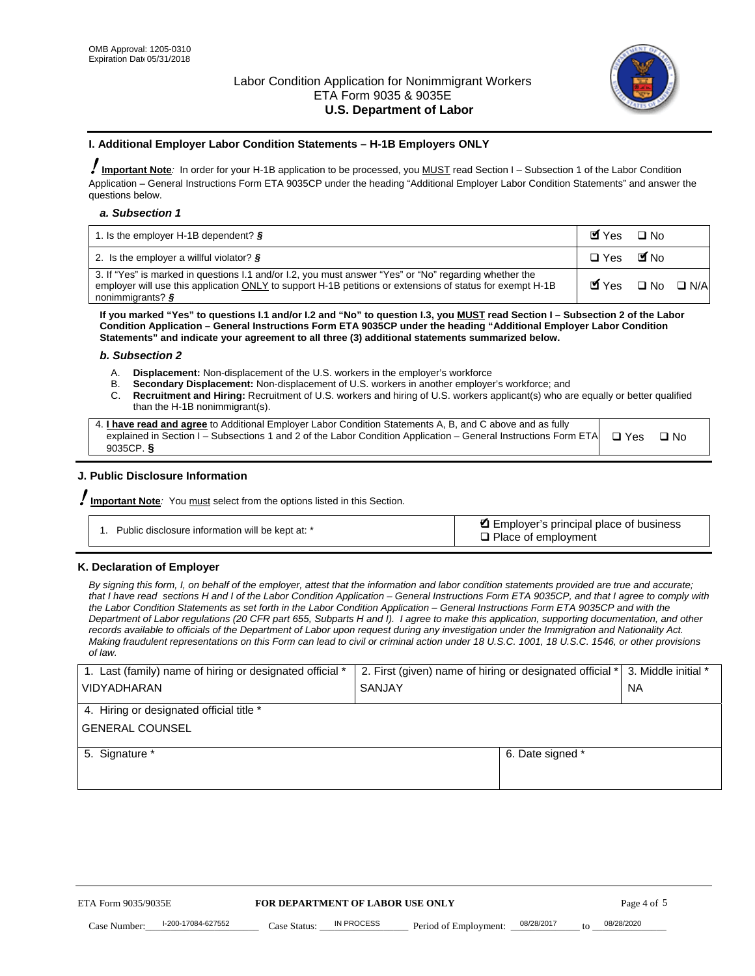

#### **I. Additional Employer Labor Condition Statements – H-1B Employers ONLY**

!**Important Note***:* In order for your H-1B application to be processed, you MUST read Section I – Subsection 1 of the Labor Condition Application – General Instructions Form ETA 9035CP under the heading "Additional Employer Labor Condition Statements" and answer the questions below.

#### *a. Subsection 1*

| 1. Is the employer H-1B dependent? $\S$                                                                                                                                                                                                             | $Y$ es $\Box$ No                              |  |
|-----------------------------------------------------------------------------------------------------------------------------------------------------------------------------------------------------------------------------------------------------|-----------------------------------------------|--|
| 2. Is the employer a willful violator? $\S$                                                                                                                                                                                                         | □ Yes ■ No                                    |  |
| 3. If "Yes" is marked in questions I.1 and/or I.2, you must answer "Yes" or "No" regarding whether the<br>employer will use this application ONLY to support H-1B petitions or extensions of status for exempt H-1B<br>nonimmigrants? $\frac{1}{2}$ | $\blacksquare$ Yes $\square$ No $\square$ N/A |  |

**If you marked "Yes" to questions I.1 and/or I.2 and "No" to question I.3, you MUST read Section I – Subsection 2 of the Labor Condition Application – General Instructions Form ETA 9035CP under the heading "Additional Employer Labor Condition Statements" and indicate your agreement to all three (3) additional statements summarized below.** 

#### *b. Subsection 2*

- A. **Displacement:** Non-displacement of the U.S. workers in the employer's workforce
- B. **Secondary Displacement:** Non-displacement of U.S. workers in another employer's workforce; and
- C. **Recruitment and Hiring:** Recruitment of U.S. workers and hiring of U.S. workers applicant(s) who are equally or better qualified than the H-1B nonimmigrant(s).

| 4. I have read and agree to Additional Employer Labor Condition Statements A, B, and C above and as fully                  |      |
|----------------------------------------------------------------------------------------------------------------------------|------|
| explained in Section I – Subsections 1 and 2 of the Labor Condition Application – General Instructions Form ETA $\Box$ Yes | ∩ Nח |
| 9035CP. $\delta$                                                                                                           |      |

# **J. Public Disclosure Information**

!**Important Note***:* You must select from the options listed in this Section.

| Public disclosure information will be kept at: * | Employer's principal place of business<br>$\Box$ Place of employment |
|--------------------------------------------------|----------------------------------------------------------------------|
|--------------------------------------------------|----------------------------------------------------------------------|

#### **K. Declaration of Employer**

*By signing this form, I, on behalf of the employer, attest that the information and labor condition statements provided are true and accurate;*  that I have read sections H and I of the Labor Condition Application – General Instructions Form ETA 9035CP, and that I agree to comply with *the Labor Condition Statements as set forth in the Labor Condition Application – General Instructions Form ETA 9035CP and with the Department of Labor regulations (20 CFR part 655, Subparts H and I). I agree to make this application, supporting documentation, and other records available to officials of the Department of Labor upon request during any investigation under the Immigration and Nationality Act. Making fraudulent representations on this Form can lead to civil or criminal action under 18 U.S.C. 1001, 18 U.S.C. 1546, or other provisions of law.* 

| 1. Last (family) name of hiring or designated official * | 2. First (given) name of hiring or designated official * |                                 | 3. Middle initial * |
|----------------------------------------------------------|----------------------------------------------------------|---------------------------------|---------------------|
| <b>VIDYADHARAN</b>                                       | <b>SANJAY</b>                                            |                                 | <b>NA</b>           |
| 4. Hiring or designated official title *                 |                                                          |                                 |                     |
| <b>GENERAL COUNSEL</b>                                   |                                                          |                                 |                     |
| 5. Signature *                                           |                                                          | 6. Date signed *                |                     |
|                                                          |                                                          |                                 |                     |
|                                                          |                                                          |                                 |                     |
|                                                          |                                                          |                                 |                     |
|                                                          |                                                          |                                 |                     |
| FOR DEPARTMENT OF LABOR USE ONLY<br>ETA Form 9035/9035E  |                                                          |                                 | Page 4 of 5         |
| I-200-17084-627552<br>Case Number<br>Case Status:        | IN PROCESS<br>Period of Employment:                      | 08/28/2017<br>$\mathsf{t} \cap$ | 08/28/2020          |